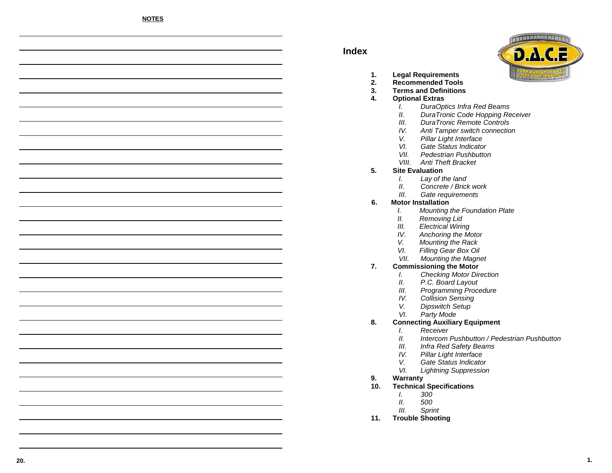# **Index**



- **1.Legal R equire ments**
- **.** Recommended Tools **2.**
- **Terms andDefinitions3.**
- **4. Optional E xtras**
	- I.'. DuraOptics Infra Red Beams
	- . DuraTronic Code Hopping Receiver II.
	- III.DuraTronic Remote Controls
	- $IV.$ '. Anti Tamper switch connection
	- V.Pillar Lig ht Interface
	- VI.Gate Status In dicator
	- Pedestrian Pushbutton VII.
	- VIII. Anti Theft Bracket

#### **Site E valuation 5.**

- I.Lay of the lan d
- $II.$ Concrete / Brick work
- III.Gate req uirements

#### **6.Motor Installation**

- I.'. Mounting the Foundation Plate
- II.'. Removing Lid
- Electrical Wirin g III.
- IV.A nch orin g the Motor
- V.'. Mounting the Rack
- VI.Filling Gear BoxOil
- Mounting the Mag net VII.

#### **C o m missioning the Motor7.**

- C heckin g Motor Directio n I.
	- II.P.C. Board Layo ut
	- Programming Procedure III.
	- IV.. Collision Sensing
	- Dipswitch Setup V.
	- VI.Party Mode

#### **Connecting Auxiliary Equipment 8.**

- I.Receiver
- $II.$ IntercomPushbutton / Pedestrian Pushbutton
- . Infra Red Safety Beams III.
- IV.Pillar Lig ht Interface
- V.Gate Status In dicator
- VI.l. Lightning Suppression
- **9.Warranty**
- **10. Technical Sp ecifications**
	- 300I.
	- $. 500$ II.
	- III.Sprint
- **11.TroubleShooting**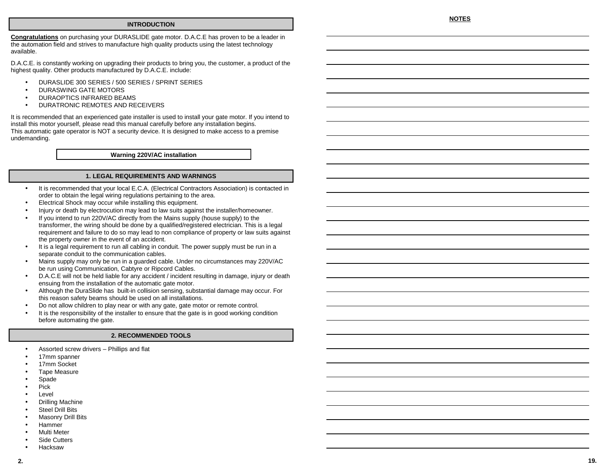#### **INTRODUCTION**

**Congratulations** on purchasing your DURASLIDE gate motor. D.A.C.E has proven to be <sup>a</sup> leader in the automation field and strives to manufacture high quality products using the latest technology available.

D.A.C.E. is constantly working on upgrading their products to bring you, the customer, <sup>a</sup> product of the highest quality. Other products manufactured by D.A.C.E. include:

- •DURASLIDE 300 SERIES / 500 SERIES / SPRINT SERIES
- •DURASWING GATE MOTORS
- •DURAOPTICS INFRARED BEAMS
- •DURATRONIC REMOTES AND RECEIVERS

It is recommended that an experienced gate installer is used to install your gate motor. If you intend to install this motor yourself, please read this manual carefully before any installation begins. This automatic gate operator is NOT <sup>a</sup> security device. It is designed to make access to <sup>a</sup> premise undemanding.

**Warning 220V/AC installation**

#### **1. LEGAL REQUIREMENTS AND WARNINGS**

- • It is recommended that your local E.C.A. (Electrical Contractors Association) is contacted in order to obtain the legal wiring regulations pertaining to the area.
- •Electrical Shock may occur while installing this equipment.
- •Injury or death by electrocution may lead to law suits against the installer/homeowner.
- • If you intend to run 220V/AC directly from the Mains supply (house supply) to the transformer, the wiring should be done by <sup>a</sup> qualified/registered electrician. This is <sup>a</sup> legal requirement and failure to do so may lead to non compliance of property or law suits against the property owner in the event of an accident.
- •• It is a legal requirement to run all cabling in conduit. The power supply must be run in a separate conduit to the communication cables.
- • Mains supply may only be run in <sup>a</sup> guarded cable. Under no circumstances may 220V/AC be run using Communication, Cabtyre or Ripcord Cables.
- • D.A.C.E will not be held liable for any accident / incident resulting in damage, injury or death ensuing from the installation of the automatic gate motor.
- • Although the DuraSlide has built-in collision sensing, substantial damage may occur. For this reason safety beams should be used on all installations.
- •Do not allow children to play near or with any gate, gate motor or remote control.
- • It is the responsibility of the installer to ensure that the gate is in good working condition before automating the gate.

#### **2. RECOMMENDED TOOLS**

- •Assorted screw drivers – Phillips and flat
- •17mm spanner
- •17mm Socket
- •Tape Measure
- •Spade
- •Pick
- •Level
- •Drilling Machine
- •Steel Drill Bits
- •Masonry Drill Bits
- •Hammer
- •Multi Meter
- •• Side Cutters
- •Hacksaw

#### **NOTES**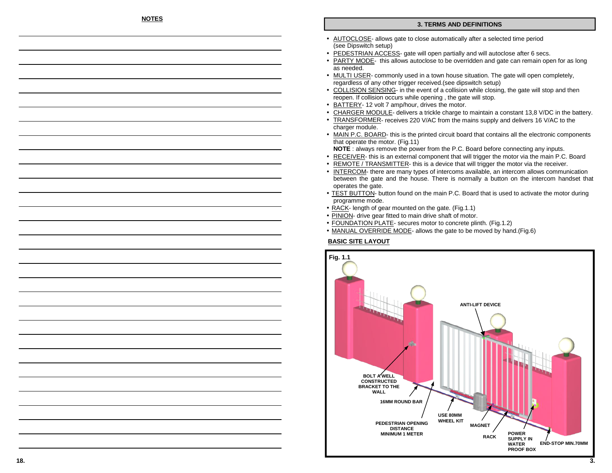## **NOTES**

#### **3. TERMSANDDEFINITIONS**

- AUTOCLOSE- allows gate to close automatically after a selected time period (see Dipswitch setup)
- PEDESTRIAN ACCESS- gate will open partially and will autoclose after 6 secs.
- **PARTY MODE** this allows autoclose to be overridden and gate can remain open for as long as needed.
- MULTI USER- commonly used in a town house situation. The gate will open completely, regardless of any other trigger received.(see dipswitch setup)
- COLLISION SENSING- in the event of a collision while closing, the gate will stop and then reopen. If collision occurs while opening , the gate will stop.
- **BATTERY** 12 volt 7 amp/hour, drives the motor.
- CHARGER MODULE- delivers a trickle charge to maintain a constant 13,8 V/DC in the battery.
- TRANSFORMER- receives 220 V/AC from the mains supply and delivers 16 V/AC to the •charger module.
- MAIN P.C. BOARD- this is the printed circuit board that contains all the electronic components that operate the motor. (Fig.11)

**N O TE** : always remove the power from the P.C. Board before connecting any inputs.

- RECEIVER- this is an external component that will trigger the motor via the main P.C. Board
- • $\bullet$  REMOTE / TRANSMITTER- this is a device that will trigger the motor via the receiver.
- INTERCOM- there are many types of intercoms available, an intercom allows communication •between the gate and the house. There is normally a button on the intercom handset that operates the gate.
- TEST BUTTON- button found on the main P.C. Board that is used to activate the motor during program me mode.
- RACK- length of gear mounted on the gate. (Fig.1.1)
- PINION- drive gear fitted to main drive shaft of motor.
- FOUNDATION PLATE- secures motor to concrete plinth. (Fig.1.2)
- MANUAL OVERRIDE MODE- allows the gate to be moved by hand.(Fig.6)

## **BASICSITE LAY OUT**

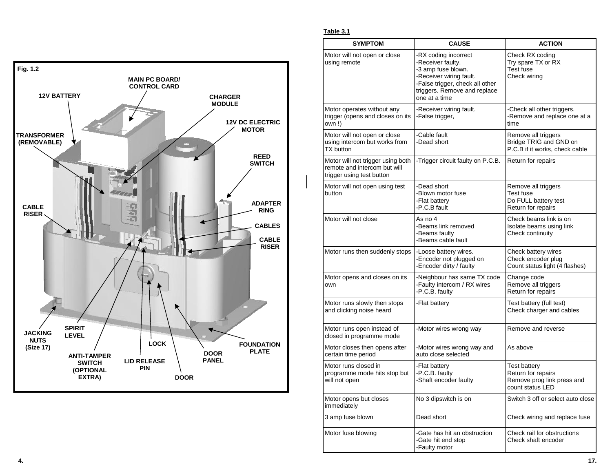

**Table 3.1**

| <b>SYMPTOM</b>                                                                                 | <b>CAUSE</b>                                                                                                                                                                   |                                                                                             |  |
|------------------------------------------------------------------------------------------------|--------------------------------------------------------------------------------------------------------------------------------------------------------------------------------|---------------------------------------------------------------------------------------------|--|
| Motor will not open or close<br>using remote                                                   | -RX coding incorrect<br>-Receiver faulty.<br>-3 amp fuse blown.<br>-Receiver wiring fault.<br>-False trigger, check all other<br>triggers. Remove and replace<br>one at a time | Check RX coding<br>Try spare TX or RX<br>Test fuse<br>Check wiring                          |  |
| Motor operates without any<br>trigger (opens and closes on its<br>own!)                        | -Receiver wiring fault.<br>-False trigger,                                                                                                                                     | -Check all other triggers.<br>-Remove and replace one at a<br>time                          |  |
| Motor will not open or close<br>using intercom but works from<br>TX button                     | -Cable fault<br>-Dead short                                                                                                                                                    | Remove all triggers<br>Bridge TRIG and GND on<br>P.C.B if it works, check cable             |  |
| Motor will not trigger using both<br>remote and intercom but will<br>trigger using test button | -Trigger circuit faulty on P.C.B.                                                                                                                                              | Return for repairs                                                                          |  |
| Motor will not open using test<br>button                                                       | -Dead short<br>-Blown motor fuse<br>-Flat battery<br>-P.C.B fault                                                                                                              | Remove all triggers<br>Test fuse<br>Do FULL battery test<br>Return for repairs              |  |
| Motor will not close                                                                           | As no 4<br>-Beams link removed<br>-Beams faulty<br>-Beams cable fault                                                                                                          | Check beams link is on<br>Isolate beams using link<br>Check continuity                      |  |
| Motor runs then suddenly stops                                                                 | -Loose battery wires.<br>-Encoder not plugged on<br>-Encoder dirty / faulty                                                                                                    | Check battery wires<br>Check encoder plug<br>Count status light (4 flashes)                 |  |
| Motor opens and closes on its<br>own                                                           | -Neighbour has same TX code<br>-Faulty intercom / RX wires<br>-P.C.B. faulty                                                                                                   | Change code<br>Remove all triggers<br>Return for repairs                                    |  |
| Motor runs slowly then stops<br>and clicking noise heard                                       | -Flat battery                                                                                                                                                                  | Test battery (full test)<br>Check charger and cables                                        |  |
| Motor runs open instead of<br>closed in programme mode                                         | -Motor wires wrong way                                                                                                                                                         | Remove and reverse                                                                          |  |
| Motor closes then opens after<br>certain time period                                           | -Motor wires wrong way and<br>auto close selected                                                                                                                              | As above                                                                                    |  |
| Motor runs closed in<br>programme mode hits stop but<br>will not open                          | -Flat battery<br>-P.C.B. faulty<br>-Shaft encoder faulty                                                                                                                       | <b>Test battery</b><br>Return for repairs<br>Remove prog link press and<br>count status LED |  |
| Motor opens but closes<br>immediately                                                          | No 3 dipswitch is on                                                                                                                                                           | Switch 3 off or select auto close                                                           |  |
| 3 amp fuse blown                                                                               | Dead short                                                                                                                                                                     | Check wiring and replace fuse                                                               |  |
| Motor fuse blowing                                                                             | -Gate has hit an obstruction<br>-Gate hit end stop<br>-Faulty motor                                                                                                            | Check rail for obstructions<br>Check shaft encoder                                          |  |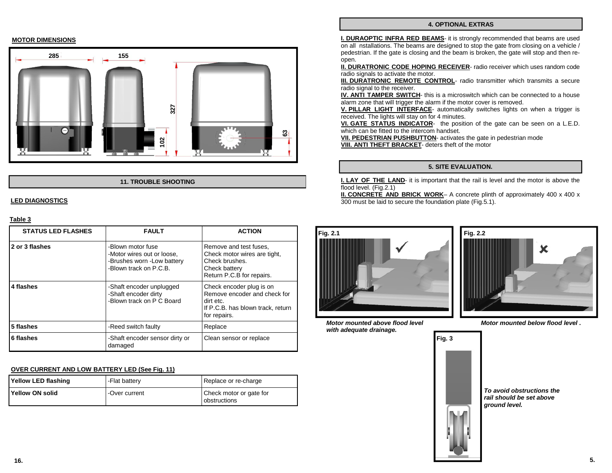#### **4. OPTIONAL EXTRAS**

**MOTOR DIMENSIONS**



#### **11. TROUBLE SHOOTING**

#### **LED DIAGNOSTICS**

#### **Table 3**

| <b>STATUS LED FLASHES</b> | <b>FAULT</b>                                                                                                                                                                                                | <b>ACTION</b><br>Remove and test fuses.<br>Check motor wires are tight,<br>Check brushes.<br>Check battery<br>Return P.C.B for repairs. |  |
|---------------------------|-------------------------------------------------------------------------------------------------------------------------------------------------------------------------------------------------------------|-----------------------------------------------------------------------------------------------------------------------------------------|--|
| 2 or 3 flashes            | -Blown motor fuse<br>-Motor wires out or loose.<br>-Brushes worn -Low battery<br>-Blown track on P.C.B.                                                                                                     |                                                                                                                                         |  |
| 4 flashes                 | Check encoder plug is on<br>-Shaft encoder unplugged<br>Remove encoder and check for<br>-Shaft encoder dirty<br>-Blown track on P C Board<br>dirt etc.<br>If P.C.B. has blown track, return<br>for repairs. |                                                                                                                                         |  |
| 5 flashes                 | -Reed switch faulty                                                                                                                                                                                         | Replace                                                                                                                                 |  |
| 6 flashes                 | -Shaft encoder sensor dirty or<br>damaged                                                                                                                                                                   | Clean sensor or replace                                                                                                                 |  |

#### **OVER CURRENT AND LOW BATTERY LED (See Fig. 11)**

| Yellow LED flashing | -Flat battery | Replace or re-charge                    |  |
|---------------------|---------------|-----------------------------------------|--|
| Yellow ON solid     | -Over current | Check motor or gate for<br>obstructions |  |

**I. DURAOPTIC INFRA RED BEAMS**- it is strongly recommended that beams are used on all nstallations. The beams are designed to stop the gate from closing on <sup>a</sup> vehicle / pedestrian. If the gate is closing and the beam is broken, the gate will stop and then reopen.

**II. DURATRONIC CODE HOPING RECEIVER**- radio receiver which uses random code radio signals to activate the motor.

**III. DURATRONIC REMOTE CONTROL**- radio transmitter which transmits <sup>a</sup> secure radio signal to the receiver.

**IV. ANTI TAMPER SWITCH**- this is <sup>a</sup> microswitch which can be connected to <sup>a</sup> house alarm zone that will trigger the alarm if the motor cover is removed.

**V. PILLAR LIGHT INTERFACE**- automatically switches lights on when <sup>a</sup> trigger is received. The lights will stay on for 4 minutes.

**VI. GATE STATUS INDICATOR**- the position of the gate can be seen on <sup>a</sup> L.E.D. which can be fitted to the intercom handset.

**VII. PEDESTRIAN PUSHBUTTON**- activates the gate in pedestrian mode **VIII. ANTI THEFT BRACKET**- deters theft of the motor

#### **5. SITE EVALUATION.**

**I. LAY OF THE LAND**- it is important that the rail is level and the motor is above the flood level. (Fig.2.1)

**II. CONCRETE AND BRICK WORK**– A concrete plinth of approximately 400 <sup>x</sup> 400 <sup>x</sup> 300 must be laid to secure the foundation plate (Fig.5.1).



**Motor mounted above flood level with adequate drainage.**



**Motor mounted below flood level .**

**To avoid obstructions the rail should be set above**

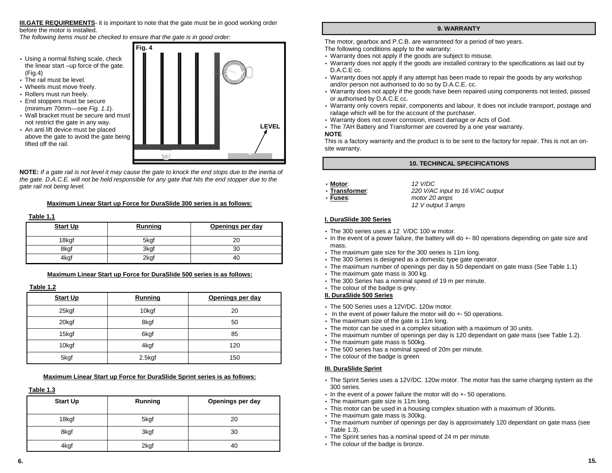**III.GATE REQUIREMENTS**- it is important to note that the gate must be in good working order before the motor is installed.

The following items must be checked to ensure that the gate is in good order:

- Using <sup>a</sup> normal fishing scale, check the linear start –up force of the gate. (Fig.4)
- The rail must be level.
- Wheels must move freely.
- Rollers must run freely.
- End stoppers must be secure (minimum 70mm—see *Fig. 1.1*).
- Wall bracket must be secure and must not restrict the gate in any way.
- An anti lift device must be placed above the gate to avoid the gate being lifted off the rail.



**NOTE:** If a gate rail is not level it may cause the gate to knock the end stops due to the inertia of the gate. D.A.C.E. will not be held responsible for any gate that hits the end stopper due to the gate rail not being level.

## **Maximum Linear Start up Force for DuraSlide 300 series is as follows:**

#### **Table 1.1**

| <b>Start Up</b> | Running | Openings per day |
|-----------------|---------|------------------|
| 18kgf           | 5kgf    |                  |
| 8kgf            | 3kgf    | ົ                |
| 4kgf            | 2kgf    | 40               |

**Maximum Linear Start up Force for DuraSlide 500 series is as follows:**

## **Table 1.2**

| <b>Start Up</b> | Running           | Openings per day |
|-----------------|-------------------|------------------|
| 25kgf           | 10 <sub>kgf</sub> | 20               |
| 20kgf           | 8kgf              | 50               |
| 15kgf           | 6kgf              | 85               |
| 10kgf           | 4kgf              | 120              |
| 5kgf            | $2.5$ kgf         | 150              |

## **Maximum Linear Start up Force for DuraSlide Sprint series is as follows:**

## **Table 1.3**

| <b>Start Up</b> | Running | Openings per day |
|-----------------|---------|------------------|
| 18kgf           | 5kgf    | 20               |
| 8kgf            | 3kgf    | 30               |
| 4kgf            | 2kgf    | 40               |

## **9. WARRANTY**

The motor, gearbox and P.C.B. are warranteed for <sup>a</sup> period of two years. The following conditions apply to the warranty:

- Warranty does not apply if the goods are subject to misuse.
- Warranty does not apply if the goods are installed contrary to the specifications as laid out by D.A.C.E cc.
- Warranty does not apply if any attempt has been made to repair the goods by any workshop and/or person not authorised to do so by D.A.C.E. cc.
- Warranty does not apply if the goods have been repaired using components not tested, passed or authorised by D.A.C.E cc.
- Warranty only covers repair, components and labour. It does not include transport, postage and railage which will be for the account of the purchaser.
- Warranty does not cover corrosion, insect damage or Acts of God.
- The 7AH Battery and Transformer are covered by <sup>a</sup> one year warranty.

## **NOTE**

This is a factory warranty and the product is to be sent to the factory for repair. This is not an onsite warranty.

## **10. TECHINCAL SPECIFICATIONS**

## • **Motor**: 12

- V/DC• **Transformer**: 220
- Fuses:

0 V/AC input to 16 V/AC output **Fuses**: motor 20 amps 12 V output 3 amps

## **I. DuraSlide 300 Series**

- The 300 series uses <sup>a</sup> 12 V/DC 100 <sup>w</sup> motor.
- In the event of <sup>a</sup> power failure, the battery will do +- 80 operations depending on gate size and mass.
- The maximum gate size for the 300 series is 11m long.
- The 300 Series is designed as <sup>a</sup> domestic type gate operator.
- The maximum number of openings per day is 50 dependant on gate mass (See Table 1.1)
- The maximum gate mass is 300 kg.
- The 300 Series has <sup>a</sup> nominal speed of 19 <sup>m</sup> per minute.
- The colour of the badge is grey.

## **II. DuraSlide 500 Series**

- The 500 Series uses a 12V/DC. 120w motor.
- In the event of power failure the motor will do  $+$  50 operations.
- The maximum size of the gate is 11m long.
- The motor can be used in <sup>a</sup> complex situation with <sup>a</sup> maximum of 30 units.
- The maximum number of openings per day is 120 dependant on gate mass (see Table 1.2).
- The maximum gate mass is 500kg.
- The 500 series has <sup>a</sup> nominal speed of 20m per minute.
- The colour of the badge is green

## **III. DuraSlide Sprint**

- The Sprint Series uses <sup>a</sup> 12V/D C. 120w motor. The motor has the same charging system as the 300 series.
- In the event of <sup>a</sup> power failure the motor will do +- 50 operations.
- The maximum gate size is 11m long.
- This motor can be used in <sup>a</sup> housing complex situation with <sup>a</sup> maximum of 30units.
- The maximum gate mass is 300kg.
- The maximum number of openings per day is approximately 120 dependant on gate mass (see Table 1.3).
- The Sprint series has <sup>a</sup> nominal speed of 24 <sup>m</sup> per minute.
- The colour of the badge is bronze.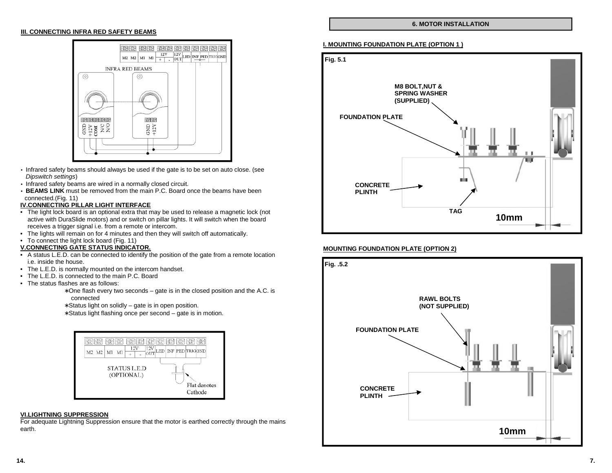#### **III. CONNECTING INFRA RED SAFETY BEAMS**



- Infrared safety beams should always be used if the gate is to be set on auto close. (see Dipswitch settings)
- Infrared safety beams are wired in <sup>a</sup> normally closed circuit.
- **BEAMS LINK** must be removed from the main P.C. Board once the beams have been connected.(Fig. 11)

#### **IV.CONNECTING PILLAR LIGHT INTERFACE**

- The light lock board is an optional extra that may be used to release <sup>a</sup> magnetic lock (not active with DuraSlide motors) and or switch on pillar lights. It will switch when the board receives a trigger signal i.e. from <sup>a</sup> remote or intercom.
- The lights will remain on for 4 minutes and then they will switch off automatically.
- To connect the light lock board (Fig. 11)

#### **V.CONNECTING GATE STATUS INDICATOR.**

- A status L.E.D. can be connected to identify the position of the gate from <sup>a</sup> remote location i.e. inside the house.
- The L.E.D. is normally mounted on the intercom handset.
- The L.E.D. is connected to the main P.C. Board
- The status flashes are as follows:
	- ∗ One flash every two seconds gate is in the closed position and the A.C. is connected
	- ∗ Status light on solidly gate is in open position.
	- ∗ Status light flashing once per second gate is in motion.



#### **VI.LIGHTNING SUPPRESSION**

For adequate Lightning Suppression ensure that the motor is earthed correctly through the mains earth.

#### **6. MOTOR INSTALLATION**

#### **I. MOUNTING FOUNDATION PLATE (OPTION 1 )**



## **MOUNTING FOUNDATION PLATE (OPTION 2)**

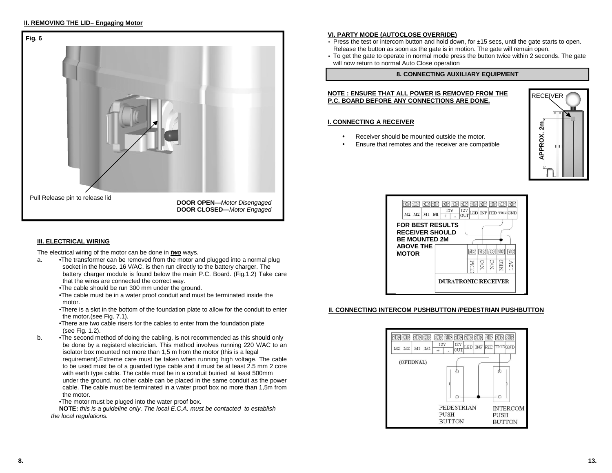#### **II. REMOVING THE LID– Engaging Motor**



## **III. ELECTRICAL WIRING**

The electrical wiring of the motor can be done in **two** ways.

- a. •The transformer can be removed from the motor and plugged into <sup>a</sup> normal plug socket in the house. 16 V/AC. is then run directly to the battery charger. The battery charger module is found below the main P.C. Board. (Fig.1.2) Take care that the wires are connected the correct way.
	- •The cable should be run 300 mm under the ground.
	- •The cable must be in <sup>a</sup> water proof conduit and must be terminated inside the motor.
	- •There is a slot in the bottom of the foundation plate to allow for the conduit to enter the motor.(see Fig. 7.1).
	- •There are two cable risers for the cables to enter from the foundation plate (see Fig. 1.2).
- b. •The second method of doing the cabling, is not recommended as this should only be done by <sup>a</sup> registerd electrician. This method involves running 220 V/AC to an isolator box mounted not more than 1,5 <sup>m</sup> from the motor (this is <sup>a</sup> legal requirement).Extreme care must be taken when running high voltage. The cable to be used must be of <sup>a</sup> guarded type cable and it must be at least 2.5 mm 2 core with earth type cable. The cable must be in <sup>a</sup> conduit buiried at least 500mm under the ground, no other cable can be placed in the same conduit as the power cable. The cable must be terminated in <sup>a</sup> water proof box no more than 1,5m from the motor.
	- •The motor must be pluged into the water proof box.

**NOTE:** this is a guideline only. The local E.C.A. must be contacted to establish the local regulations.

## **VI. PARTY MODE (AUTOCLOSE OVERRIDE)**

- Press the test or intercom button and hold down, for ±15 secs, until the gate starts to open. Release the button as soon as the gate is in motion. The gate will remain open.
- To get the gate to operate in normal mode press the button twice within 2 seconds. The gate will now return to normal Auto Close operation

## **8. CONNECTING AUXILIARY EQUIPMENT**

#### **NOTE : ENSURE THAT ALL POWER IS REMOVED FROM THE P.C. BOARD BEFORE ANY CONNECTIONS ARE DONE.**

#### **I. CONNECTING A RECEIVER**

- •• Receiver should be mounted outside the motor.
- •Ensure that remotes and the receiver are compatible





## **II. CONNECTING INTERCOM PUSHBUTTON /PEDESTRIAN PUSHBUTTON**

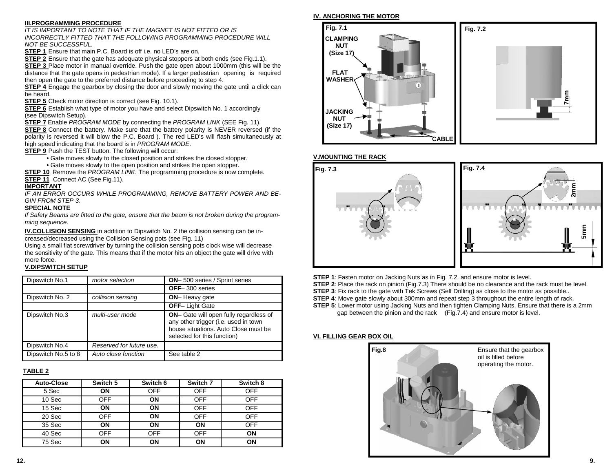## **III.PROGRAMMING PROCEDURE**

IT IS IMPORTANT TO NOTE THAT IF THE MAGNET IS NOT FITTED OR IS INCORRECTLY FITTED THAT THE FOLLOWING PROGRAMMING PROCEDURE WILL NOT BE SUCCESSFUL.

**STEP 1** Ensure that main P.C. Board is off i.e. no LED's are on.

**STEP 2** Ensure that the gate has adequate physical stoppers at both ends (see Fig.1.1).

**STEP 3** Place motor in manual override. Push the gate open about 1000mm (this will be the distance that the gate opens in pedestrian mode). If <sup>a</sup> larger pedestrian opening is required then open the gate to the preferred distance before proceeding to step 4.

**STEP 4** Engage the gearbox by closing the door and slowly moving the gate until <sup>a</sup> click can be heard.

**STEP 5** Check motor direction is correct (see Fig. 10.1).

**STEP 6** Establish what type of motor you have and select Dipswitch No. 1 accordingly (see Dipswitch Setup).

**STEP 7** Enable PROGRAM MODE by connecting the PROGRAM LINK (SEE Fig. 11).

**STEP 8** Connect the battery. Make sure that the battery polarity is NEVER reversed (if the polarity is reversed it will blow the P.C. Board ). The red LED's will flash simultaneously at high speed indicating that the board is in PROGRAM MODE.

**STEP 9** Push the TEST button. The following will occur:

• Gate moves slowly to the closed position and strikes the closed stopper.

• Gate moves slowly to the open position and strikes the open stopper.

**STEP 10** Remove the PROGRAM LINK. The programming procedure is now complete. **STEP 11** Connect AC (See Fig.11).

#### **IMPORTANT**

IF AN ERROR OCCURS WHILE PROGRAMMING, REMOVE BATTERY POWER AND BE-GIN FROM STEP 3.

#### **SPECIAL NOTE**

If Safety Beams are fitted to the gate, ensure that the beam is not broken during the programming sequence.

**IV.COLLISION SENSING** in addition to Dipswitch No. 2 the collision sensing can be increased/decreased using the Collision Sensing pots (see Fig. 11)

Using <sup>a</sup> small flat screwdriver by turning the collision sensing pots clock wise will decrease the sensitivity of the gate. This means that if the motor hits an object the gate will drive with more force.

#### **V.DIPSWITCH SETUP**

| Dipswitch No.1      | motor selection          | <b>ON-</b> 500 series / Sprint series                                                                                                                 |
|---------------------|--------------------------|-------------------------------------------------------------------------------------------------------------------------------------------------------|
|                     |                          | <b>OFF-300 series</b>                                                                                                                                 |
| Dipswitch No. 2     | collision sensing        | <b>ON-</b> Heavy gate                                                                                                                                 |
|                     |                          | <b>OFF-Light Gate</b>                                                                                                                                 |
| Dipswitch No.3      | multi-user mode          | ON- Gate will open fully regardless of<br>any other trigger (i.e. used in town<br>house situations. Auto Close must be<br>selected for this function) |
| Dipswitch No.4      | Reserved for future use. |                                                                                                                                                       |
| Dipswitch No.5 to 8 | Auto close function      | See table 2                                                                                                                                           |

## **TABLE 2**

| <b>Auto-Close</b> | Switch 5   | Switch 6   | Switch 7   | Switch 8   |
|-------------------|------------|------------|------------|------------|
| 5 Sec             | ON         | <b>OFF</b> | <b>OFF</b> | <b>OFF</b> |
| 10 Sec            | OFF        | ON         | OFF        | <b>OFF</b> |
| 15 Sec            | ON         | ON         | <b>OFF</b> | <b>OFF</b> |
| 20 Sec            | <b>OFF</b> | ON         | <b>OFF</b> | <b>OFF</b> |
| 35 Sec            | ON         | ON         | ΟN         | <b>OFF</b> |
| 40 Sec            | <b>OFF</b> | <b>OFF</b> | <b>OFF</b> | ON         |
| 75 Sec            | ΟN         | ON         | ΟN         | ON         |

#### **IV. ANCHORING THE MOTOR**



#### **V.MOUNTING THE RACK**



- **STEP 1**: Fasten motor on Jacking Nuts as in Fig. 7.2. and ensure motor is level.
- **STEP 2**: Place the rack on pinion (Fig.7.3) There should be no clearance and the rack must be level.
- **STEP 3**: Fix rack to the gate with Tek Screws (Self Drilling) as close to the motor as possible..
- **STEP 4**: Move gate slowly about 300mm and repeat step 3 throughout the entire length of rack.
- **STEP 5**: Lower motor using Jacking Nuts and then tighten Clamping Nuts. Ensure that there is <sup>a</sup> 2mm gap between the pinion and the rack (Fig.7.4) and ensure motor is level.

## **VI. FILLING GEAR BOX OIL**